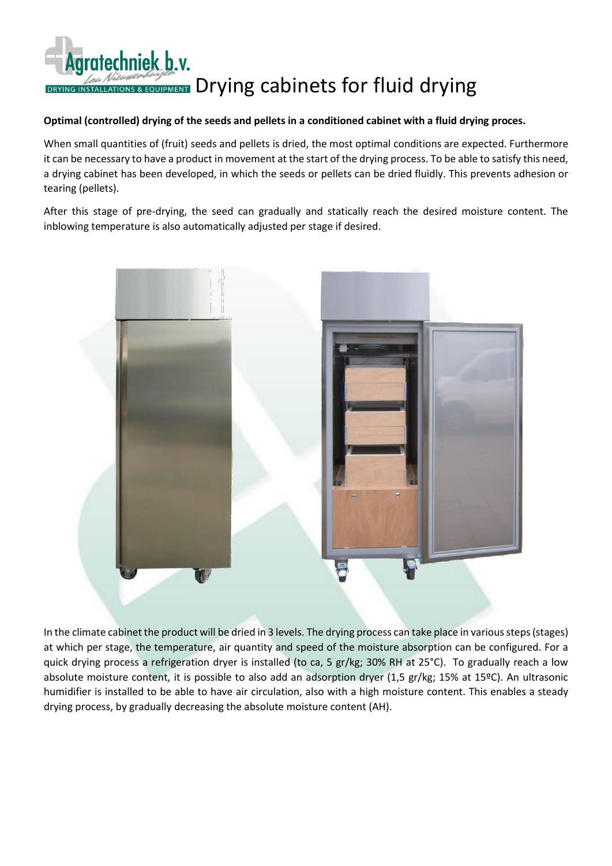## Agratechniek b.v. DRYING INSTALLATIONS & EQUIPMENT Drying cabinets for fluid drying

## **Optimal (controlled) drying of the seeds and pellets in a conditioned cabinet with a fluid drying proces.**

When small quantities of (fruit) seeds and pellets is dried, the most optimal conditions are expected. Furthermore it can be necessary to have a product in movement at the start of the drying process. To be able to satisfy this need, a drying cabinet has been developed, in which the seeds or pellets can be dried fluidly. This prevents adhesion or tearing (pellets).

After this stage of pre-drying, the seed can gradually and statically reach the desired moisture content. The inblowing temperature is also automatically adjusted per stage if desired.



In the climate cabinet the product will be dried in 3 levels. The drying process can take place in various steps (stages) at which per stage, the temperature, air quantity and speed of the moisture absorption can be configured. For a quick drying process a refrigeration dryer is installed (to ca, 5 gr/kg; 30% RH at 25°C). To gradually reach a low absolute moisture content, it is possible to also add an adsorption dryer (1,5 gr/kg; 15% at 15ºC). An ultrasonic humidifier is installed to be able to have air circulation, also with a high moisture content. This enables a steady drying process, by gradually decreasing the absolute moisture content (AH).